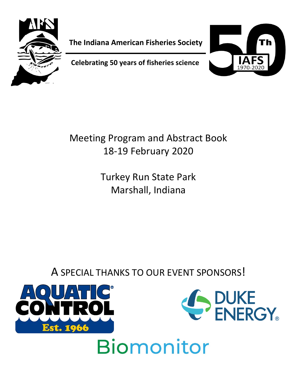

**The Indiana American Fisheries Society**

**Celebrating 50 years of fisheries science**



Meeting Program and Abstract Book 18-19 February 2020

> Turkey Run State Park Marshall, Indiana

A SPECIAL THANKS TO OUR EVENT SPONSORS!



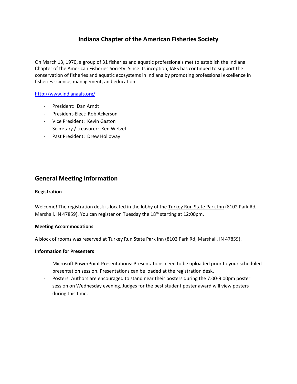# **Indiana Chapter of the American Fisheries Society**

On March 13, 1970, a group of 31 fisheries and aquatic professionals met to establish the Indiana Chapter of the American Fisheries Society. Since its inception, IAFS has continued to support the conservation of fisheries and aquatic ecosystems in Indiana by promoting professional excellence in fisheries science, management, and education.

### <http://www.indianaafs.org/>

- President: Dan Arndt
- President-Elect: Rob Ackerson
- Vice President: Kevin Gaston
- Secretary / treasurer: Ken Wetzel
- Past President: Drew Holloway

### **General Meeting Information**

#### **Registration**

Welcome! The registration desk is located in the lobby of the Turkey Run State Park Inn (8102 Park Rd, Marshall, IN 47859). You can register on Tuesday the 18<sup>th</sup> starting at 12:00pm.

### **Meeting Accommodations**

A block of rooms was reserved at Turkey Run State Park Inn (8102 Park Rd, Marshall, IN 47859).

### **Information for Presenters**

- Microsoft PowerPoint Presentations: Presentations need to be uploaded prior to your scheduled presentation session. Presentations can be loaded at the registration desk.
- Posters: Authors are encouraged to stand near their posters during the 7:00-9:00pm poster session on Wednesday evening. Judges for the best student poster award will view posters during this time.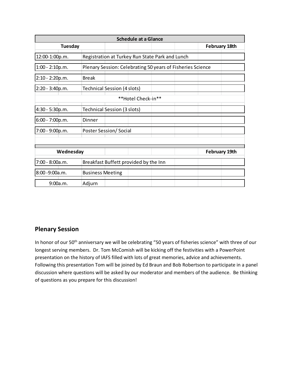| <b>Schedule at a Glance</b> |                                                            |                                    |                                                 |  |  |                      |  |
|-----------------------------|------------------------------------------------------------|------------------------------------|-------------------------------------------------|--|--|----------------------|--|
| <b>Tuesday</b>              |                                                            |                                    |                                                 |  |  | <b>February 18th</b> |  |
| 12:00-1:00p.m.              |                                                            |                                    | Registration at Turkey Run State Park and Lunch |  |  |                      |  |
| $1:00 - 2:10p.m.$           | Plenary Session: Celebrating 50 years of Fisheries Science |                                    |                                                 |  |  |                      |  |
| $2:10 - 2:20p.m.$           | Break                                                      |                                    |                                                 |  |  |                      |  |
| $2:20 - 3:40p.m.$           |                                                            | <b>Technical Session (4 slots)</b> |                                                 |  |  |                      |  |
| **Hotel Check-in**          |                                                            |                                    |                                                 |  |  |                      |  |
| 4:30 - 5:30p.m.             | Technical Session (3 slots)                                |                                    |                                                 |  |  |                      |  |
| 6:00 - 7:00p.m.             | Dinner                                                     |                                    |                                                 |  |  |                      |  |
| $7:00 - 9:00p.m.$           | Poster Session/Social                                      |                                    |                                                 |  |  |                      |  |
|                             |                                                            |                                    |                                                 |  |  |                      |  |
|                             |                                                            |                                    |                                                 |  |  |                      |  |
| Wednesday                   |                                                            |                                    |                                                 |  |  | <b>February 19th</b> |  |
| 7:00 - 8:00a.m.             | Breakfast Buffett provided by the Inn                      |                                    |                                                 |  |  |                      |  |
| 8:00 - 9:00a.m.             | <b>Business Meeting</b>                                    |                                    |                                                 |  |  |                      |  |
| 9:00a.m.                    | Adjurn                                                     |                                    |                                                 |  |  |                      |  |

# **Plenary Session**

In honor of our 50<sup>th</sup> anniversary we will be celebrating "50 years of fisheries science" with three of our longest serving members. Dr. Tom McComish will be kicking off the festivities with a PowerPoint presentation on the history of IAFS filled with lots of great memories, advice and achievements. Following this presentation Tom will be joined by Ed Braun and Bob Robertson to participate in a panel discussion where questions will be asked by our moderator and members of the audience. Be thinking of questions as you prepare for this discussion!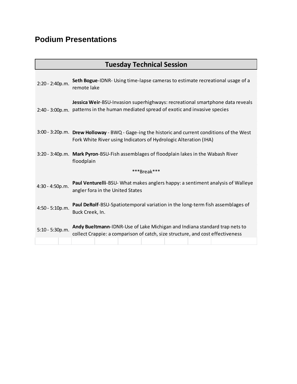# **Podium Presentations**

| <b>Tuesday Technical Session</b> |                                                                                                                                                                       |  |  |  |  |  |  |
|----------------------------------|-----------------------------------------------------------------------------------------------------------------------------------------------------------------------|--|--|--|--|--|--|
| 2:20 - 2:40p.m.                  | Seth Bogue-IDNR- Using time-lapse cameras to estimate recreational usage of a<br>remote lake                                                                          |  |  |  |  |  |  |
|                                  | Jessica Weir-BSU-Invasion superhighways: recreational smartphone data reveals<br>2:40 - 3:00p.m. patterns in the human mediated spread of exotic and invasive species |  |  |  |  |  |  |
|                                  | 3:00 - 3:20p.m. Drew Holloway - BWQ - Gage-ing the historic and current conditions of the West<br>Fork White River using Indicators of Hydrologic Alteration (IHA)    |  |  |  |  |  |  |
|                                  | 3:20 - 3:40p.m. Mark Pyron-BSU-Fish assemblages of floodplain lakes in the Wabash River<br>floodplain                                                                 |  |  |  |  |  |  |
| ***Break***                      |                                                                                                                                                                       |  |  |  |  |  |  |
| 4:30 - 4:50p.m.                  | Paul Venturelli-BSU- What makes anglers happy: a sentiment analysis of Walleye<br>angler fora in the United States                                                    |  |  |  |  |  |  |
| 4:50 - 5:10p.m.                  | Paul DeRolf-BSU-Spatiotemporal variation in the long-term fish assemblages of<br>Buck Creek, In.                                                                      |  |  |  |  |  |  |
| $5:10 - 5:30p.m.$                | Andy Bueltmann-IDNR-Use of Lake Michigan and Indiana standard trap nets to<br>collect Crappie: a comparison of catch, size structure, and cost effectiveness          |  |  |  |  |  |  |
|                                  |                                                                                                                                                                       |  |  |  |  |  |  |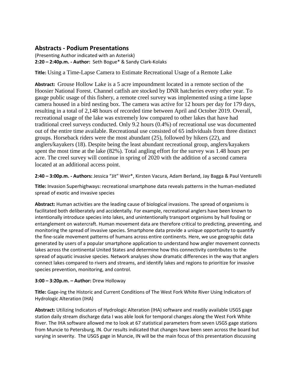### **Abstracts - Podium Presentations**

(Presenting Author indicated with an Asterisk) **2:20 – 2:40p.m. - Author:** Seth Bogue\* & Sandy Clark-Kolaks

**Title:** Using a Time-Lapse Camera to Estimate Recreational Usage of a Remote Lake

**Abstract:** Grouse Hollow Lake is a 5 acre impoundment located in a remote section of the Hoosier National Forest. Channel catfish are stocked by DNR hatcheries every other year. To gauge public usage of this fishery, a remote creel survey was implemented using a time lapse camera housed in a bird nesting box. The camera was active for 12 hours per day for 179 days, resulting in a total of 2,148 hours of recorded time between April and October 2019. Overall, recreational usage of the lake was extremely low compared to other lakes that have had traditional creel surveys conducted. Only 9.2 hours (0.4%) of recreational use was documented out of the entire time available. Recreational use consisted of 65 individuals from three distinct groups. Horseback riders were the most abundant (25), followed by hikers (22), and anglers/kayakers (18). Despite being the least abundant recreational group, anglers/kayakers spent the most time at the lake (82%). Total angling effort for the survey was 1.48 hours per acre. The creel survey will continue in spring of 2020 with the addition of a second camera located at an additional access point.

**2:40 – 3:00p.m. - Authors:** Jessica "Jit" Weir\*, Kirsten Vacura, Adam Berland, Jay Bagga & Paul Venturelli

**Title:** Invasion Superhighways: recreational smartphone data reveals patterns in the human-mediated spread of exotic and invasive species

**Abstract:** Human activities are the leading cause of biological invasions. The spread of organisms is facilitated both deliberately and accidentally. For example, recreational anglers have been known to intentionally introduce species into lakes, and unintentionally transport organisms by hull fouling or entanglement on watercraft. Human movement data are therefore critical to predicting, preventing, and monitoring the spread of invasive species. Smartphone data provide a unique opportunity to quantify the fine-scale movement patterns of humans across entire continents. Here, we use geographic data generated by users of a popular smartphone application to understand how angler movement connects lakes across the continental United States and determine how this connectivity contributes to the spread of aquatic invasive species. Network analyses show dramatic differences in the way that anglers connect lakes compared to rivers and streams, and identify lakes and regions to prioritize for invasive species prevention, monitoring, and control.

### **3:00 – 3:20p.m. – Author:** Drew Holloway

**Title:** Gage-ing the Historic and Current Conditions of The West Fork White River Using Indicators of Hydrologic Alteration (IHA)

**Abstract:** Utilizing Indicators of Hydrologic Alteration (IHA) software and readily available USGS gage station daily stream discharge data I was able look for temporal changes along the West Fork White River. The IHA software allowed me to look at 67 statistical parameters from seven USGS gage stations from Muncie to Petersburg, IN. Our results indicated that changes have been seen across the board but varying in severity. The USGS gage in Muncie, IN will be the main focus of this presentation discussing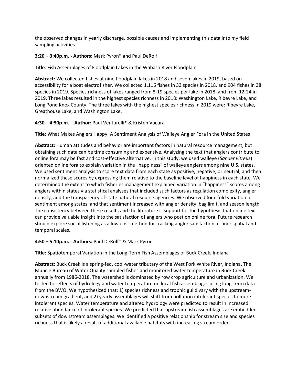the observed changes in yearly discharge, possible causes and implementing this data into my field sampling activities.

### **3:20 – 3:40p.m. - Authors:** Mark Pyron\* and Paul DeRolf

**Title**: Fish Assemblages of Floodplain Lakes in the Wabash River Floodplain

**Abstract:** We collected fishes at nine floodplain lakes in 2018 and seven lakes in 2019, based on accessibility for a boat electrofisher. We collected 1,116 fishes in 33 species in 2018, and 904 fishes in 38 species in 2019. Species richness of lakes ranged from 8-19 species per lake in 2018, and from 12-24 in 2019. Three lakes resulted in the highest species richness in 2018: Washington Lake, Ribeyre Lake, and Long Pond Knox County. The three lakes with the highest species richness in 2019 were: Ribeyre Lake, Greathouse Lake, and Washington Lake.

### **4:30 – 4:50p.m. – Author:** Paul Venturelli\* & Kristen Vacura

**Title:** What Makes Anglers Happy: A Sentiment Analysis of Walleye Angler Fora in the United States

**Abstract:** Human attitudes and behavior are important factors in natural resource management, but obtaining such data can be time consuming and expensive. Analyzing the text that anglers contribute to online fora may be fast and cost-effective alternative. In this study, we used walleye (*Sander vitreus*) oriented online fora to explain variation in the "happiness" of walleye anglers among nine U.S. states. We used sentiment analysis to score text data from each state as positive, negative, or neutral, and then normalized these scores by expressing them relative to the baseline level of happiness in each state. We determined the extent to which fisheries management explained variation in "happiness" scores among anglers within states via statistical analyses that included such factors as regulation complexity, angler density, and the transparency of state natural resource agencies. We observed four-fold variation in sentiment among states, and that sentiment increased with angler density, bag limit, and season length. The consistency between these results and the literature is support for the hypothesis that online text can provide valuable insight into the satisfaction of anglers who post on online fora. Future research should explore social listening as a low-cost method for tracking angler satisfaction at finer spatial and temporal scales.

### **4:50 – 5:10p.m. - Authors:** Paul DeRolf\* & Mark Pyron

**Title:** Spatiotemporal Variation in the Long-Term Fish Assemblages of Buck Creek, Indiana

**Abstract:** Buck Creek is a spring-fed, cool-water tributary of the West Fork White River, Indiana. The Muncie Bureau of Water Quality sampled fishes and monitored water temperature in Buck Creek annually from 1986-2018. The watershed is dominated by row crop agriculture and urbanization. We tested for effects of hydrology and water temperature on local fish assemblages using long-term data from the BWQ. We hypothesized that: 1) species richness and trophic guild vary with the upstreamdownstream gradient, and 2) yearly assemblages will shift from pollution intolerant species to more intolerant species. Water temperature and altered hydrology were predicted to result in increased relative abundance of intolerant species. We predicted that upstream fish assemblages are embedded subsets of downstream assemblages. We identified a positive relationship for stream size and species richness that is likely a result of additional available habitats with increasing stream order.